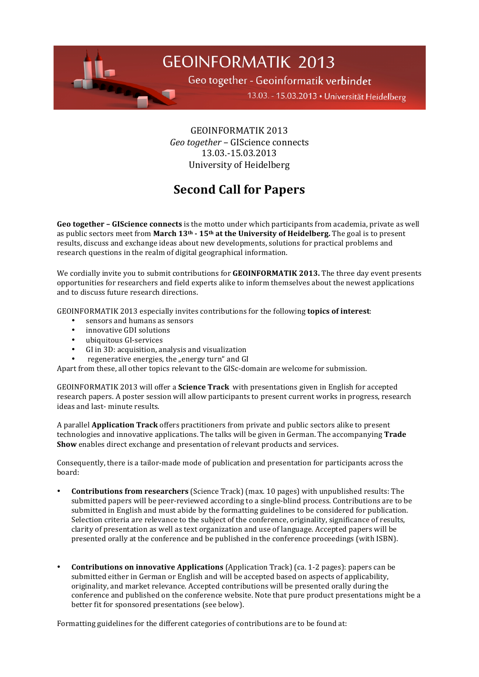

Geo together - Geoinformatik verbindet

13.03. - 15.03.2013 · Universität Heidelberg

GEOINFORMATIK,2013, *Geo together* – GIScience connects 13.03.-15.03.2013 University of Heidelberg

## **Second Call for Papers**

**Geo together – GIScience connects** is the motto under which participants from academia, private as well as public sectors meet from **March 13<sup>th</sup> - 15<sup>th</sup> at the University of Heidelberg.** The goal is to present results, discuss and exchange ideas about new developments, solutions for practical problems and research questions in the realm of digital geographical information.

We cordially invite you to submit contributions for **GEOINFORMATIK 2013.** The three day event presents opportunities for researchers and field experts alike to inform themselves about the newest applications and to discuss future research directions.

GEOINFORMATIK 2013 especially invites contributions for the following **topics of interest**:

- sensors and humans as sensors
- innovative GDI solutions
- ubiquitous GI-services
- GI in 3D: acquisition, analysis and visualization
- regenerative energies, the "energy turn" and GI

Apart from these, all other topics relevant to the GISc-domain are welcome for submission.

GEOINFORMATIK 2013 will offer a **Science Track** with presentations given in English for accepted research, papers. A poster session will allow participants to present current works in progress, research ideas and last-minute results.

A, parallel, **Application Track** offers practitioners from private and public sectors alike to present technologies and innovative applications. The talks will be given in German. The accompanying **Trade Show** enables direct exchange and presentation of relevant products and services.

Consequently, there is a tailor-made mode of publication and presentation for participants across the board:

- **Contributions from researchers** (Science Track) (max. 10 pages) with unpublished results: The submitted papers will be peer-reviewed according to a single-blind process. Contributions are to be submitted in English and must abide by the formatting guidelines to be considered for publication. Selection criteria are relevance to the subject of the conference, originality, significance of results, clarity of presentation as well as text organization and use of language. Accepted papers will be presented orally at the conference and be published in the conference proceedings (with ISBN).
- **Contributions on innovative Applications** (Application Track) (ca. 1-2 pages): papers can be submitted either in German or English and will be accepted based on aspects of applicability, originality, and market relevance. Accepted contributions will be presented orally during the conference and published on the conference website. Note that pure product presentations might be a better fit for sponsored presentations (see below).

Formatting guidelines for the different categories of contributions are to be found at: